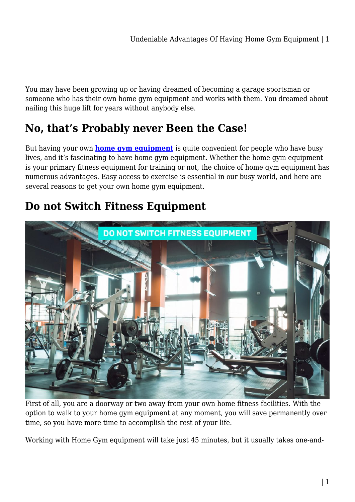You may have been growing up or having dreamed of becoming a garage sportsman or someone who has their own home gym equipment and works with them. You dreamed about nailing this huge lift for years without anybody else.

### **No, that's Probably never Been the Case!**

But having your own **[home gym equipment](https://treadmilloffers.com.au/)** is quite convenient for people who have busy lives, and it's fascinating to have home gym equipment. Whether the home gym equipment is your primary fitness equipment for training or not, the choice of home gym equipment has numerous advantages. Easy access to exercise is essential in our busy world, and here are several reasons to get your own home gym equipment.

### **Do not Switch Fitness Equipment**



First of all, you are a doorway or two away from your own home fitness facilities. With the option to walk to your home gym equipment at any moment, you will save permanently over time, so you have more time to accomplish the rest of your life.

Working with Home Gym equipment will take just 45 minutes, but it usually takes one-and-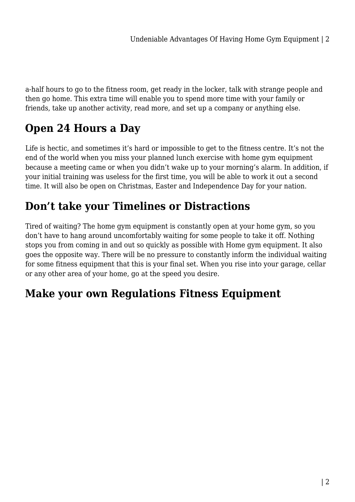a-half hours to go to the fitness room, get ready in the locker, talk with strange people and then go home. This extra time will enable you to spend more time with your family or friends, take up another activity, read more, and set up a company or anything else.

# **Open 24 Hours a Day**

Life is hectic, and sometimes it's hard or impossible to get to the fitness centre. It's not the end of the world when you miss your planned lunch exercise with home gym equipment because a meeting came or when you didn't wake up to your morning's alarm. In addition, if your initial training was useless for the first time, you will be able to work it out a second time. It will also be open on Christmas, Easter and Independence Day for your nation.

## **Don't take your Timelines or Distractions**

Tired of waiting? The home gym equipment is constantly open at your home gym, so you don't have to hang around uncomfortably waiting for some people to take it off. Nothing stops you from coming in and out so quickly as possible with Home gym equipment. It also goes the opposite way. There will be no pressure to constantly inform the individual waiting for some fitness equipment that this is your final set. When you rise into your garage, cellar or any other area of your home, go at the speed you desire.

## **Make your own Regulations Fitness Equipment**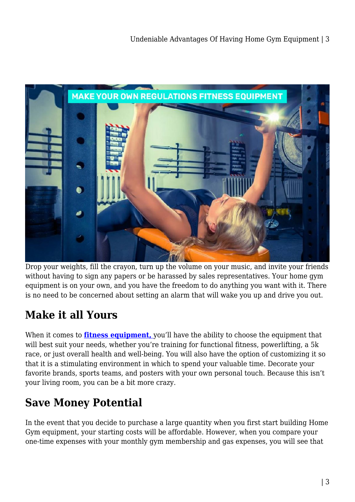

Drop your weights, fill the crayon, turn up the volume on your music, and invite your friends without having to sign any papers or be harassed by sales representatives. Your home gym equipment is on your own, and you have the freedom to do anything you want with it. There is no need to be concerned about setting an alarm that will wake you up and drive you out.

## **Make it all Yours**

When it comes to **fitness equipment**, [y](https://treadmilloffers.com.au/)ou'll have the ability to choose the equipment that will best suit your needs, whether you're training for functional fitness, powerlifting, a 5k race, or just overall health and well-being. You will also have the option of customizing it so that it is a stimulating environment in which to spend your valuable time. Decorate your favorite brands, sports teams, and posters with your own personal touch. Because this isn't your living room, you can be a bit more crazy.

### **Save Money Potential**

In the event that you decide to purchase a large quantity when you first start building Home Gym equipment, your starting costs will be affordable. However, when you compare your one-time expenses with your monthly gym membership and gas expenses, you will see that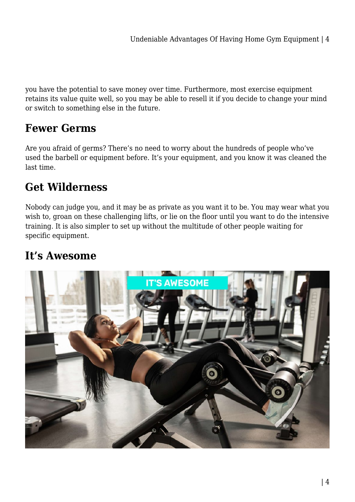you have the potential to save money over time. Furthermore, most exercise equipment retains its value quite well, so you may be able to resell it if you decide to change your mind or switch to something else in the future.

#### **Fewer Germs**

Are you afraid of germs? There's no need to worry about the hundreds of people who've used the barbell or equipment before. It's your equipment, and you know it was cleaned the last time.

## **Get Wilderness**

Nobody can judge you, and it may be as private as you want it to be. You may wear what you wish to, groan on these challenging lifts, or lie on the floor until you want to do the intensive training. It is also simpler to set up without the multitude of other people waiting for specific equipment.

### **It's Awesome**